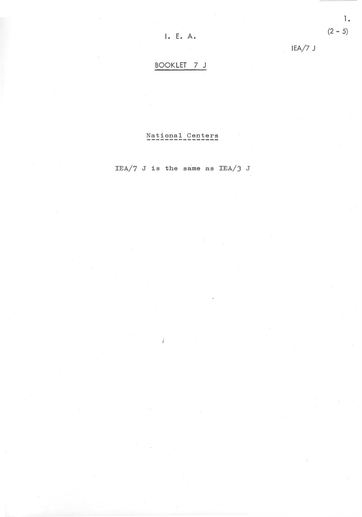IEA/7 J

# BOOKLET 7 J

## National Centers

IEA/7 J is the same as IEA/J J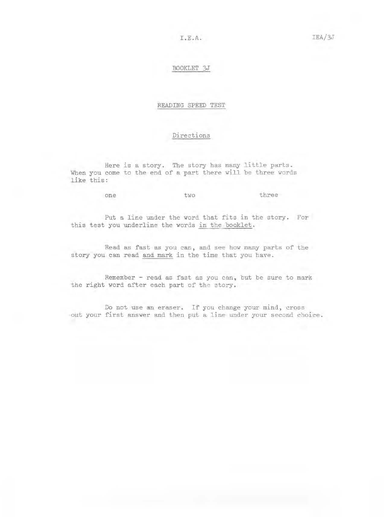### BOOKLET 3J

#### READING SPEED TEST

### Directions

Here is a story. The story has many little parts. When you come to the end of a part there will be three words like this:

one two three

Put a line under the word that fits in the story. For this test you underline the words in the booklet.

Read as fast as you can, and see how many parts of the story you can read and mark in the time that you have .

Remember - read as fast as you can, but be sure to mark the right word after each part of the story.

Do not use an eraser. If you change your mind, cross out your first answer and then put a line under your second choice .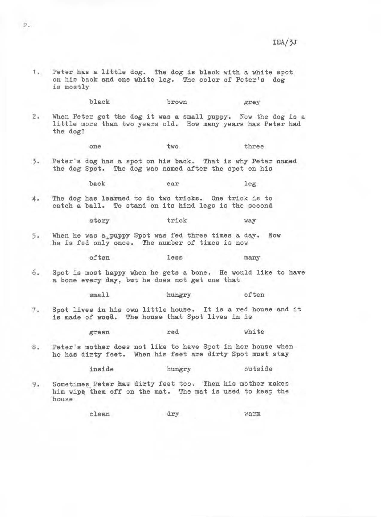1. Peter has a little dog. The dog is black with a white spot on his back and one white leg. The color of Pater's dog is mostly

black brown grey

2 , When Peter got the dog it **was a** small puppy. Now the dog is a little more than two years old. How many years has Peter had the dog?

one two three

3. Peter's dog has a spot on his back. That is why Peter named the dog Spot. The dog was named after the spot on his

back ear leg

4. The dog has learned to do two tricks. One trick is to catch a ball. To stand on its hind legs is the second

story trick way

5. When he was a puppy Spot was fed three times a day. Now he is fed only once. The number of times is now

often less many

6. Spot is most happy when he gets a bone. He would like to have a bone every day, but he does not get one that

small hungry often

7. Spot lives in his own little house. It is a red house and it is made of **wood.** The house that Spot lives in is

green red white

8. Peter's mother does not like to have Spot in her house when he has dirty feet. When his feet are dirty Spot must stay

inside hungry outside

9. Sometimes Peter has dirty feet too. Then his mother makes him wipe them off on the mat. The mat is used to keep the house

clean dry warm

2.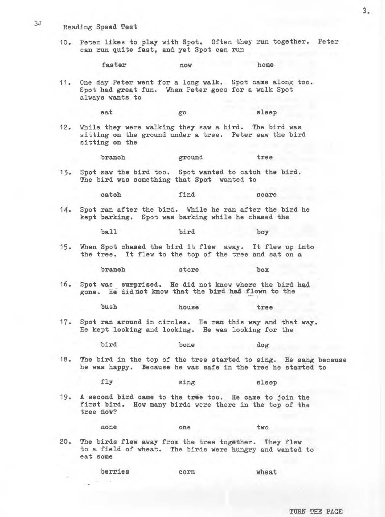# 3J Reading Speed Test

10. Peter **likes** to play with Spot. Often they run together. Peter can run quite fast, and yet Spot can run

faster now home

11. One day Peter **went** for a long **walk.** Spot came along too. Spot had great fun. When Peter goes for a walk Spot always wants to

eat go sleep

12. While they were walking they saw a bird. The bird was sitting on the ground under a tree. Peter saw the bird sitting on the

branch ground tree

13. Spot saw the bird too. Spot wanted to catch the bird. The bird was something that Spot wanted to

catch find scare

14. Spot ran after the bird. While he ran after the bird he kept barking. Spot was barking while he chased the

ball bird boy

15. When Spot **chased** the bird it flew away. It flew up into the tree. It flew to the top of the tree and sat on a

branch store box

16. Spot was surprised. He did not know where the bird had gone. Be did not know that the bird had flown to the

bush house tree

17. Spot ran around in circles. He ran this way and that **way.**  He kept looking and looking. He was looking for the

bird bone dog

18. The bird in the top of the tree started to sing. He sang because he was happy. Because he was safe in the tree he started to

fly sing sleep

19. A second bird came to the tree too. He came to join the first bird. How many birds were there in the top of the tree **now?** 

none one two

20. The birds flew **away** from the tree together. They flew to a field of wheat. The birds were hungry and wanted to eat some

berries corn wheat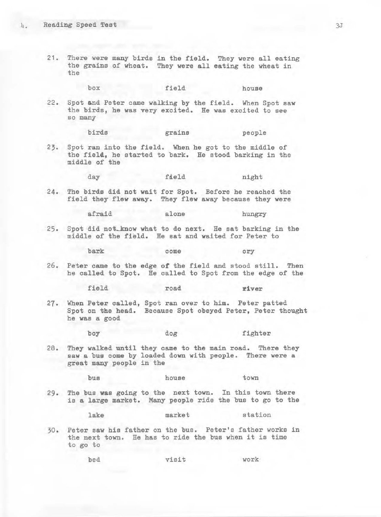21. There were many birds in the field. They were all eating the grains of wheat. They were all eating the wheat in the

box field house

22. Spot &nd Peter came walking by the field. When Spot saw the birds, he was very excited. He was excited to see so many

birds grains people

23. Spot ran into the field. When he got to the middle of the field, he started to bark. He stood barking in the middle of the

day field night

24. The birds did not **wait** for Spot. Before he reached the field they flew **away.** They flew away because they were

afraid alone hungry

25. Spot did not\_know what to do next. He sat barking in the middle of the field. He sat and waited for Peter to

bark come cry

26. Peter came to the edge of the field and stood still. Then he called to Spot. He called to Spot from the edge of the

field road **river** 

27. When Peter called, Spot ran over to him. Peter patted Spot on the head. Because Spot obeyed Peter, Peter thought he was a good

boy dog fighter

28. They walked until they came to the main road. There they saw a bus come by loaded down with people. There were a great many people in the

bus house town

29. The bus was going to the next town. In this town there is a large market. Many people ride the bus to go to the

lake market station

30. Peter saw his father on the bus. Peter's father works in the next town. He has to ride the bus when it is time to go to

bed vi sit work